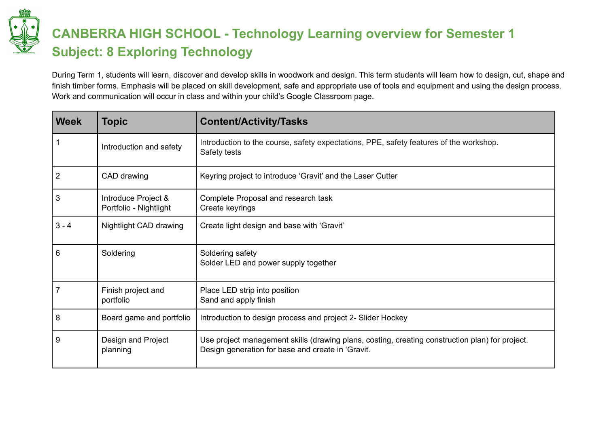

## **CANBERRA HIGH SCHOOL - Technology Learning overview for Semester 1 Subject: 8 Exploring Technology**

During Term 1, students will learn, discover and develop skills in woodwork and design. This term students will learn how to design, cut, shape and finish timber forms. Emphasis will be placed on skill development, safe and appropriate use of tools and equipment and using the design process. Work and communication will occur in class and within your child's Google Classroom page.

| <b>Week</b>    | Topic                                         | <b>Content/Activity/Tasks</b>                                                                                                                        |
|----------------|-----------------------------------------------|------------------------------------------------------------------------------------------------------------------------------------------------------|
|                | Introduction and safety                       | Introduction to the course, safety expectations, PPE, safety features of the workshop.<br>Safety tests                                               |
| $\overline{2}$ | CAD drawing                                   | Keyring project to introduce 'Gravit' and the Laser Cutter                                                                                           |
| 3              | Introduce Project &<br>Portfolio - Nightlight | Complete Proposal and research task<br>Create keyrings                                                                                               |
| $3 - 4$        | Nightlight CAD drawing                        | Create light design and base with 'Gravit'                                                                                                           |
| 6              | Soldering                                     | Soldering safety<br>Solder LED and power supply together                                                                                             |
|                | Finish project and<br>portfolio               | Place LED strip into position<br>Sand and apply finish                                                                                               |
| 8              | Board game and portfolio                      | Introduction to design process and project 2- Slider Hockey                                                                                          |
| 9              | Design and Project<br>planning                | Use project management skills (drawing plans, costing, creating construction plan) for project.<br>Design generation for base and create in 'Gravit. |